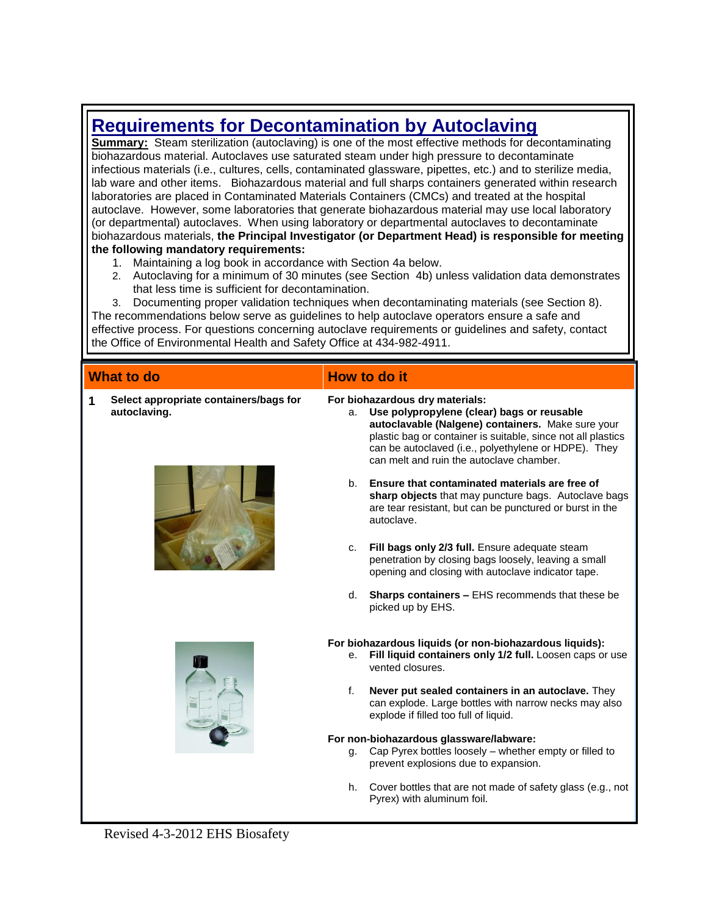# **Requirements for Decontamination by Autoclaving**

**Summary:** Steam sterilization (autoclaving) is one of the most effective methods for decontaminating biohazardous material. Autoclaves use saturated steam under high pressure to decontaminate infectious materials (i.e., cultures, cells, contaminated glassware, pipettes, etc.) and to sterilize media, lab ware and other items. Biohazardous material and full sharps containers generated within research laboratories are placed in Contaminated Materials Containers (CMCs) and treated at the hospital autoclave. However, some laboratories that generate biohazardous material may use local laboratory (or departmental) autoclaves. When using laboratory or departmental autoclaves to decontaminate biohazardous materials, **the Principal Investigator (or Department Head) is responsible for meeting the following mandatory requirements:**

- 1. Maintaining a log book in accordance with Section 4a below.
- 2. Autoclaving for a minimum of 30 minutes (see Section 4b) unless validation data demonstrates that less time is sufficient for decontamination.

3. Documenting proper validation techniques when decontaminating materials (see Section 8). The recommendations below serve as guidelines to help autoclave operators ensure a safe and effective process. For questions concerning autoclave requirements or guidelines and safety, contact the Office of Environmental Health and Safety Office at 434-982-4911.

## **What to do How to do it**

**1 Select appropriate containers/bags for autoclaving.**

## **For biohazardous dry materials:**

- a. **Use polypropylene (clear) bags or reusable autoclavable (Nalgene) containers.** Make sure your plastic bag or container is suitable, since not all plastics can be autoclaved (i.e., polyethylene or HDPE). They can melt and ruin the autoclave chamber.
- b. **Ensure that contaminated materials are free of sharp objects** that may puncture bags. Autoclave bags are tear resistant, but can be punctured or burst in the autoclave.
- c. **Fill bags only 2/3 full.** Ensure adequate steam penetration by closing bags loosely, leaving a small opening and closing with autoclave indicator tape.
- d. **Sharps containers –** EHS recommends that these be picked up by EHS.

#### **For biohazardous liquids (or non-biohazardous liquids):**

- e. **Fill liquid containers only 1/2 full.** Loosen caps or use vented closures.
- f. **Never put sealed containers in an autoclave.** They can explode. Large bottles with narrow necks may also explode if filled too full of liquid.

#### **For non-biohazardous glassware/labware:**

- g. Cap Pyrex bottles loosely whether empty or filled to prevent explosions due to expansion.
- h. Cover bottles that are not made of safety glass (e.g., not Pyrex) with aluminum foil.





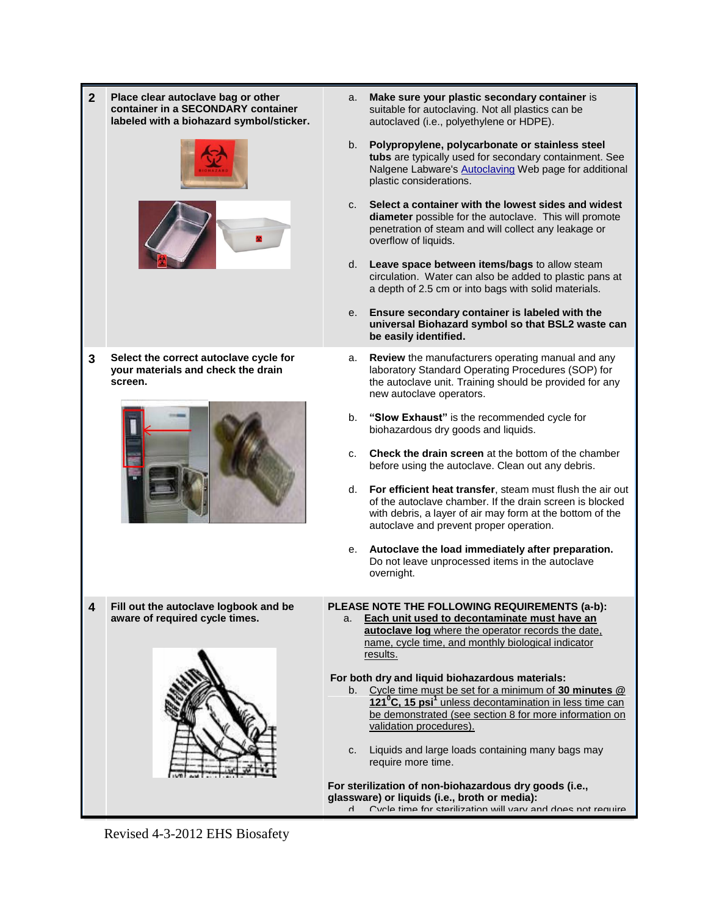**2 Place clear autoclave bag or other container in a SECONDARY container labeled with a biohazard symbol/sticker.** a. **Make sure your plastic secondary container** is suitable for autoclaving. Not all plastics can be autoclaved (i.e., polyethylene or HDPE). b. **Polypropylene, polycarbonate or stainless steel tubs** are typically used for secondary containment. See Nalgene Labware's **Autoclaving** Web page for additional plastic considerations. c. **Select a container with the lowest sides and widest diameter** possible for the autoclave. This will promote penetration of steam and will collect any leakage or overflow of liquids. d. **Leave space between items/bags** to allow steam circulation. Water can also be added to plastic pans at a depth of 2.5 cm or into bags with solid materials. e. **Ensure secondary container is labeled with the universal Biohazard symbol so that BSL2 waste can be easily identified. 3 Select the correct autoclave cycle for your materials and check the drain screen.** a. **Review** the manufacturers operating manual and any laboratory Standard Operating Procedures (SOP) for the autoclave unit. Training should be provided for any new autoclave operators. b. **"Slow Exhaust"** is the recommended cycle for biohazardous dry goods and liquids. c. **Check the drain screen** at the bottom of the chamber before using the autoclave. Clean out any debris. d. **For efficient heat transfer**, steam must flush the air out of the autoclave chamber. If the drain screen is blocked with debris, a layer of air may form at the bottom of the autoclave and prevent proper operation. e. **Autoclave the load immediately after preparation.** Do not leave unprocessed items in the autoclave overnight. **4 Fill out the autoclave logbook and be aware of required cycle times. PLEASE NOTE THE FOLLOWING REQUIREMENTS (a-b):** a. **Each unit used to decontaminate must have an autoclave log** where the operator records the date, name, cycle time, and monthly biological indicator results. **For both dry and liquid biohazardous materials:**  b. Cycle time must be set for a minimum of **30 minutes @ 121<sup>0</sup>C, 15 psi<sup>1</sup>** unless decontamination in less time can be demonstrated (see section 8 for more information on validation procedures). c. Liquids and large loads containing many bags may require more time. **For sterilization of non-biohazardous dry goods (i.e., glassware) or liquids (i.e., broth or media):** d. Cycle time for sterilization will vary and does not require

Revised 4-3-2012 EHS Biosafety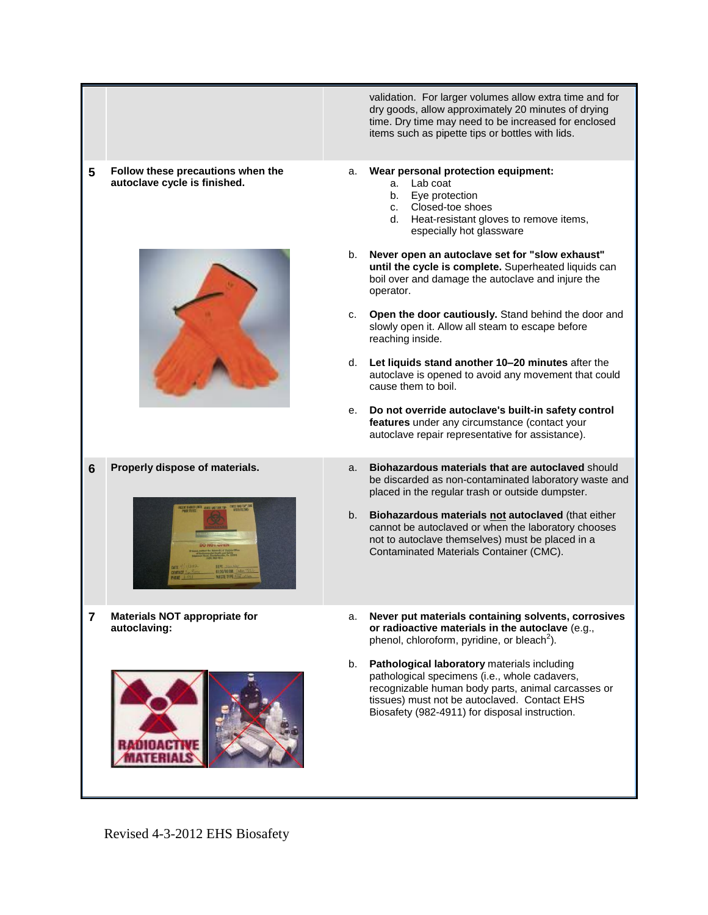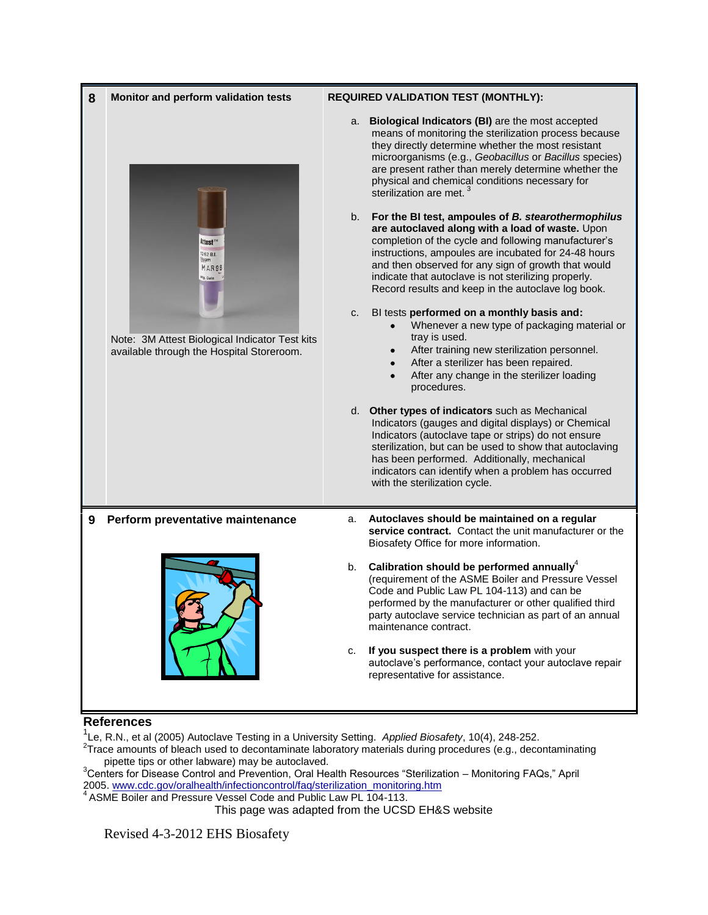| 8 | Monitor and perform validation tests                                                        | <b>REQUIRED VALIDATION TEST (MONTHLY):</b> |                                                                                                                                                                                                                                                                                                                                                                                            |
|---|---------------------------------------------------------------------------------------------|--------------------------------------------|--------------------------------------------------------------------------------------------------------------------------------------------------------------------------------------------------------------------------------------------------------------------------------------------------------------------------------------------------------------------------------------------|
|   | Attest <sup>™</sup><br>262 B.I.<br>leam<br>MAR98<br><sup>if</sup> g. Date                   | a.                                         | Biological Indicators (BI) are the most accepted<br>means of monitoring the sterilization process because<br>they directly determine whether the most resistant<br>microorganisms (e.g., Geobacillus or Bacillus species)<br>are present rather than merely determine whether the<br>physical and chemical conditions necessary for<br>sterilization are met.                              |
|   |                                                                                             | b.                                         | For the BI test, ampoules of B. stearothermophilus<br>are autoclaved along with a load of waste. Upon<br>completion of the cycle and following manufacturer's<br>instructions, ampoules are incubated for 24-48 hours<br>and then observed for any sign of growth that would<br>indicate that autoclave is not sterilizing properly.<br>Record results and keep in the autoclave log book. |
|   | Note: 3M Attest Biological Indicator Test kits<br>available through the Hospital Storeroom. | c.                                         | BI tests performed on a monthly basis and:<br>Whenever a new type of packaging material or<br>tray is used.<br>After training new sterilization personnel.<br>After a sterilizer has been repaired.<br>After any change in the sterilizer loading<br>$\bullet$<br>procedures.                                                                                                              |
|   |                                                                                             |                                            | d. Other types of indicators such as Mechanical<br>Indicators (gauges and digital displays) or Chemical<br>Indicators (autoclave tape or strips) do not ensure<br>sterilization, but can be used to show that autoclaving<br>has been performed. Additionally, mechanical<br>indicators can identify when a problem has occurred<br>with the sterilization cycle.                          |
| 9 | Perform preventative maintenance                                                            | a.                                         | Autoclaves should be maintained on a regular<br>service contract. Contact the unit manufacturer or the<br>Biosafety Office for more information.                                                                                                                                                                                                                                           |
|   |                                                                                             | b.                                         | Calibration should be performed annually $4$<br>(requirement of the ASME Boiler and Pressure Vessel<br>Code and Public Law PL 104-113) and can be<br>performed by the manufacturer or other qualified third<br>party autoclave service technician as part of an annual<br>maintenance contract.                                                                                            |
|   |                                                                                             | c.                                         | If you suspect there is a problem with your<br>autoclave's performance, contact your autoclave repair<br>representative for assistance.                                                                                                                                                                                                                                                    |

### **References**

<sup>1</sup>Le, R.N., et al (2005) Autoclave Testing in a University Setting. *Applied Biosafety*, 10(4), 248-252.<br><sup>2</sup>Trace amounts of bleach used to decontaminate laboratory materials during procedures (e.g., decontaminating pipette tips or other labware) may be autoclaved.

<sup>3</sup>Centers for Disease Control and Prevention, Oral Health Resources "Sterilization – Monitoring FAQs," April 2005. [www.cdc.gov/oralhealth/infectioncontrol/faq/sterilization\\_monitoring.htm](http://www.cdc.gov/oralhealth/infectioncontrol/faq/sterilization_monitoring.htm)

<sup>4</sup> ASME Boiler and Pressure Vessel Code and Public Law PL 104-113.

This page was adapted from the UCSD EH&S website

Revised 4-3-2012 EHS Biosafety